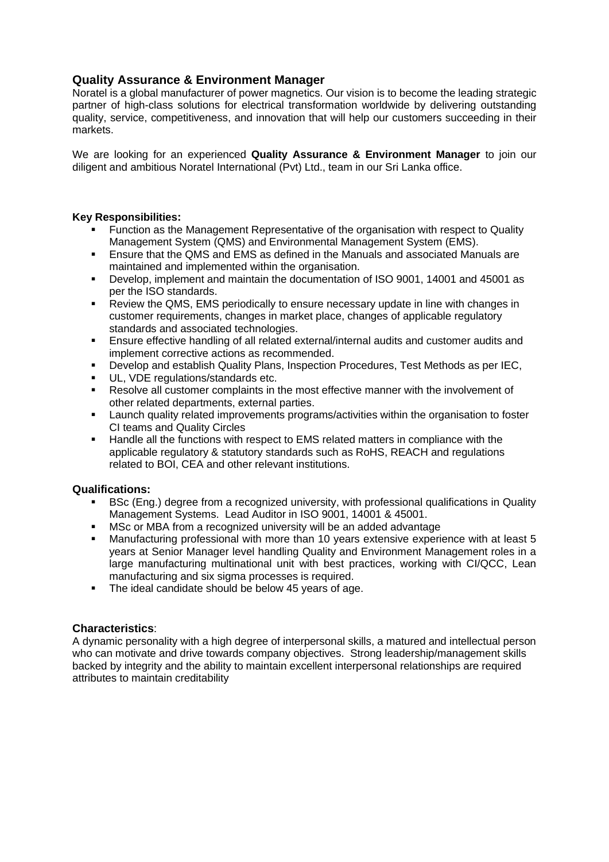# **Quality Assurance & Environment Manager**

Noratel is a global manufacturer of power magnetics. Our vision is to become the leading strategic partner of high-class solutions for electrical transformation worldwide by delivering outstanding quality, service, competitiveness, and innovation that will help our customers succeeding in their markets.

We are looking for an experienced **Quality Assurance & Environment Manager** to join our diligent and ambitious Noratel International (Pvt) Ltd., team in our Sri Lanka office.

## **Key Responsibilities:**

- Function as the Management Representative of the organisation with respect to Quality Management System (QMS) and Environmental Management System (EMS).
- Ensure that the QMS and EMS as defined in the Manuals and associated Manuals are maintained and implemented within the organisation.
- Develop, implement and maintain the documentation of ISO 9001, 14001 and 45001 as per the ISO standards.
- Review the QMS, EMS periodically to ensure necessary update in line with changes in customer requirements, changes in market place, changes of applicable regulatory standards and associated technologies.
- Ensure effective handling of all related external/internal audits and customer audits and implement corrective actions as recommended.
- Develop and establish Quality Plans, Inspection Procedures, Test Methods as per IEC,
- UL, VDE regulations/standards etc.
- Resolve all customer complaints in the most effective manner with the involvement of other related departments, external parties.
- Launch quality related improvements programs/activities within the organisation to foster CI teams and Quality Circles
- Handle all the functions with respect to EMS related matters in compliance with the applicable regulatory & statutory standards such as RoHS, REACH and regulations related to BOI, CEA and other relevant institutions.

## **Qualifications:**

- **BSc (Eng.) degree from a recognized university, with professional qualifications in Quality** Management Systems. Lead Auditor in ISO 9001, 14001 & 45001.
- MSc or MBA from a recognized university will be an added advantage
- Manufacturing professional with more than 10 years extensive experience with at least 5 years at Senior Manager level handling Quality and Environment Management roles in a large manufacturing multinational unit with best practices, working with CI/QCC, Lean manufacturing and six sigma processes is required.
- The ideal candidate should be below 45 years of age.

## **Characteristics**:

A dynamic personality with a high degree of interpersonal skills, a matured and intellectual person who can motivate and drive towards company objectives. Strong leadership/management skills backed by integrity and the ability to maintain excellent interpersonal relationships are required attributes to maintain creditability